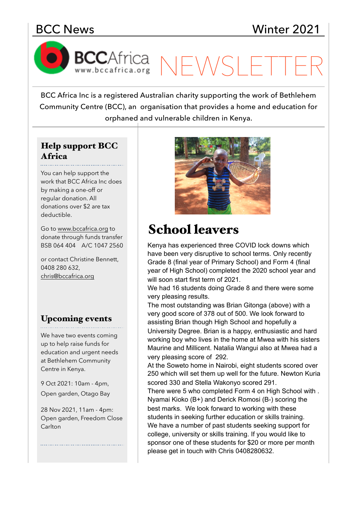BCCAfrica NEWSL

BCC Africa Inc is a registered Australian charity supporting the work of Bethlehem Community Centre (BCC), an organisation that provides a home and education for orphaned and vulnerable children in Kenya.

### Help support BCC Africa

You can help support the work that BCC Africa Inc does by making a one-off or regular donation. All donations over \$2 are tax deductible.

Go to [www.bccafrica.org](http://www.bccafrica.org) to donate through funds transfer BSB 064 404 A/C 1047 2560

or contact Christine Bennett, 0408 280 632, [chris@bccafrica.org](mailto:chris@bccafrica.org)

### Upcoming events

We have two events coming up to help raise funds for education and urgent needs at Bethlehem Community Centre in Kenya.

9 Oct 2021: 10am - 4pm, Open garden, Otago Bay

28 Nov 2021, 11am - 4pm: Open garden, Freedom Close Carlton



# School leavers

Kenya has experienced three COVID lock downs which have been very disruptive to school terms. Only recently Grade 8 (final year of Primary School) and Form 4 (final year of High School) completed the 2020 school year and will soon start first term of 2021.

We had 16 students doing Grade 8 and there were some very pleasing results.

The most outstanding was Brian Gitonga (above) with a very good score of 378 out of 500. We look forward to assisting Brian though High School and hopefully a University Degree. Brian is a happy, enthusiastic and hard working boy who lives in the home at Mwea with his sisters Maurine and Millicent. Natalia Wangui also at Mwea had a very pleasing score of 292.

At the Soweto home in Nairobi, eight students scored over 250 which will set them up well for the future. Newton Kuria scored 330 and Stella Wakonyo scored 291.

There were 5 who completed Form 4 on High School with . Nyamai Kioko (B+) and Derick Romosi (B-) scoring the best marks. We look forward to working with these students in seeking further education or skills training. We have a number of past students seeking support for college, university or skills training. If you would like to sponsor one of these students for \$20 or more per month please get in touch with Chris 0408280632.